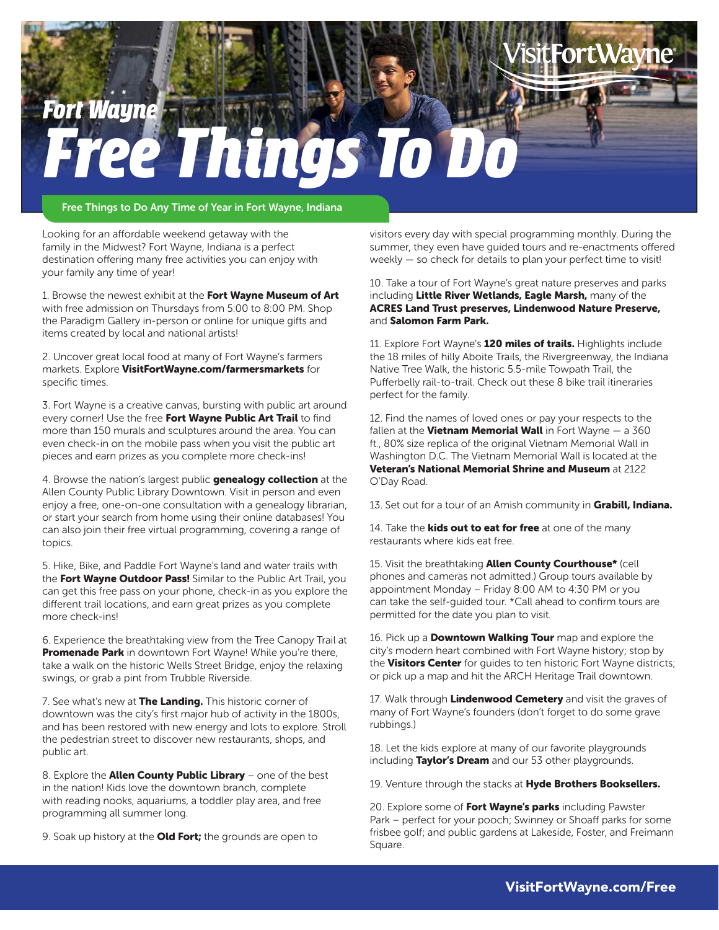## *Fort Wayne Free Things To Do*

Free Things to Do Any Time of Year in Fort Wayne, Indiana

Looking for an affordable weekend getaway with the family in the Midwest? Fort Wayne, Indiana is a perfect destination offering many free activities you can enjoy with your family any time of year!

1. Browse the newest exhibit at the Fort Wayne Museum of Art with free admission on Thursdays from 5:00 to 8:00 PM. Shop the Paradigm Gallery in-person or online for unique gifts and items created by local and national artists!

2. Uncover great local food at many of Fort Wayne's farmers markets. Explore VisitFortWayne.com/farmersmarkets for specific times.

3. Fort Wayne is a creative canvas, bursting with public art around every corner! Use the free Fort Wayne Public Art Trail to find more than 150 murals and sculptures around the area. You can even check-in on the mobile pass when you visit the public art pieces and earn prizes as you complete more check-ins!

4. Browse the nation's largest public **genealogy collection** at the Allen County Public Library Downtown. Visit in person and even enjoy a free, one-on-one consultation with a genealogy librarian, or start your search from home using their online databases! You can also join their free virtual programming, covering a range of topics.

5. Hike, Bike, and Paddle Fort Wayne's land and water trails with the Fort Wayne Outdoor Pass! Similar to the Public Art Trail, you can get this free pass on your phone, check-in as you explore the different trail locations, and earn great prizes as you complete more check-ins!

6. Experience the breathtaking view from the Tree Canopy Trail at Promenade Park in downtown Fort Wayne! While you're there, take a walk on the historic Wells Street Bridge, enjoy the relaxing swings, or grab a pint from Trubble Riverside.

7. See what's new at The Landing. This historic corner of downtown was the city's first major hub of activity in the 1800s, and has been restored with new energy and lots to explore. Stroll the pedestrian street to discover new restaurants, shops, and public art.

8. Explore the **Allen County Public Library** – one of the best in the nation! Kids love the downtown branch, complete with reading nooks, aquariums, a toddler play area, and free programming all summer long.

9. Soak up history at the **Old Fort;** the grounds are open to

visitors every day with special programming monthly. During the summer, they even have guided tours and re-enactments offered weekly — so check for details to plan your perfect time to visit!

10. Take a tour of Fort Wayne's great nature preserves and parks including Little River Wetlands, Eagle Marsh, many of the ACRES Land Trust preserves, Lindenwood Nature Preserve, and Salomon Farm Park.

11. Explore Fort Wayne's **120 miles of trails.** Highlights include the 18 miles of hilly Aboite Trails, the Rivergreenway, the Indiana Native Tree Walk, the historic 5.5-mile Towpath Trail, the Pufferbelly rail-to-trail. Check out these 8 bike trail itineraries perfect for the family.

12. Find the names of loved ones or pay your respects to the fallen at the **Vietnam Memorial Wall** in Fort Wayne  $-$  a 360 ft., 80% size replica of the original Vietnam Memorial Wall in Washington D.C. The Vietnam Memorial Wall is located at the Veteran's National Memorial Shrine and Museum at 2122 O'Day Road.

13. Set out for a tour of an Amish community in Grabill, Indiana.

14. Take the **kids out to eat for free** at one of the many restaurants where kids eat free.

15. Visit the breathtaking **Allen County Courthouse\*** (cell phones and cameras not admitted.) Group tours available by appointment Monday – Friday 8:00 AM to 4:30 PM or you can take the self-guided tour. \*Call ahead to confirm tours are permitted for the date you plan to visit.

16. Pick up a **Downtown Walking Tour** map and explore the city's modern heart combined with Fort Wayne history; stop by the Visitors Center for quides to ten historic Fort Wayne districts; or pick up a map and hit the ARCH Heritage Trail downtown.

17. Walk through **Lindenwood Cemetery** and visit the graves of many of Fort Wayne's founders (don't forget to do some grave rubbings.)

18. Let the kids explore at many of our favorite playgrounds including Taylor's Dream and our 53 other playgrounds.

19. Venture through the stacks at Hyde Brothers Booksellers.

20. Explore some of Fort Wayne's parks including Pawster Park – perfect for your pooch; Swinney or Shoaff parks for some frisbee golf; and public gardens at Lakeside, Foster, and Freimann Square.